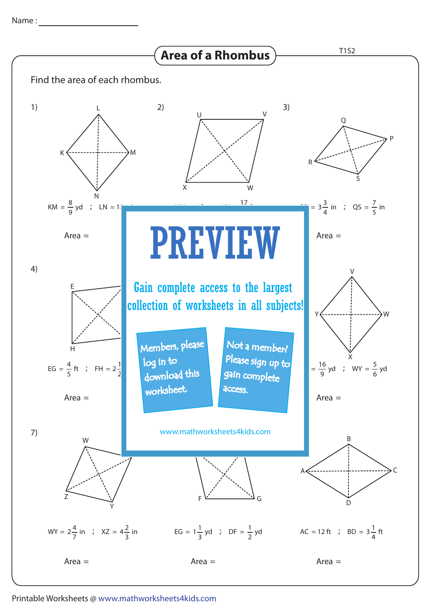